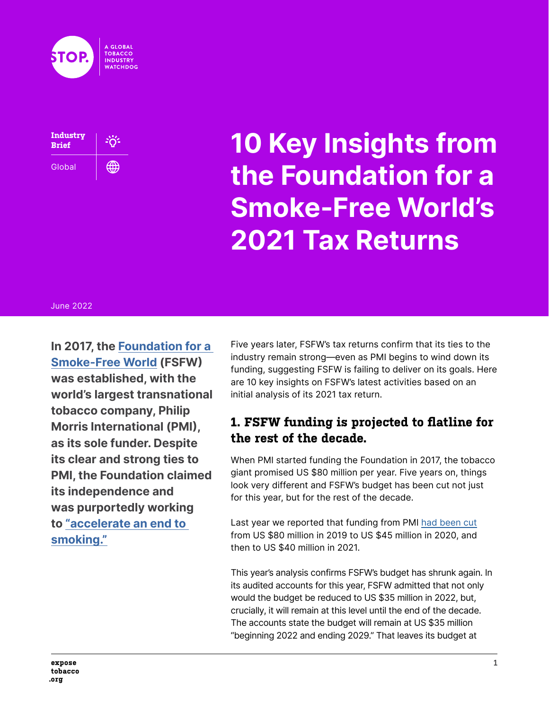



# **10 Key Insights from the Foundation for a Smoke-Free World's 2021 Tax Returns**

#### June 2022

**In 2017, the [Foundation for a](https://tobaccotactics.org/wiki/foundation-for-a-smoke-free-world/)  [Smoke-Free World](https://tobaccotactics.org/wiki/foundation-for-a-smoke-free-world/) (FSFW) was established, with the world's largest transnational tobacco company, Philip Morris International (PMI), as its sole funder. Despite its clear and strong ties to PMI, the Foundation claimed its independence and was purportedly working to ["accelerate an end to](http://web.archive.org/web/20190416105839/https:/www.smokefreeworld.org/newsroom/global-foundation-launches-accelerate-end-smoking)  [smoking."](http://web.archive.org/web/20190416105839/https:/www.smokefreeworld.org/newsroom/global-foundation-launches-accelerate-end-smoking)**

Five years later, FSFW's tax returns confirm that its ties to the industry remain strong—even as PMI begins to wind down its funding, suggesting FSFW is failing to deliver on its goals. Here are 10 key insights on FSFW's latest activities based on an initial analysis of its 2021 tax return.

#### **1. FSFW funding is projected to flatline for the rest of the decade.**

When PMI started funding the Foundation in 2017, the tobacco giant promised US \$80 million per year. Five years on, things look very different and FSFW's budget has been cut not just for this year, but for the rest of the decade.

Last year we reported that funding from PMI [had been cut](https://exposetobacco.org/wp-content/uploads/FSFW_2020_Tax_Return.pdf) from US \$80 million in 2019 to US \$45 million in 2020, and then to US \$40 million in 2021.

This year's analysis confirms FSFW's budget has shrunk again. In its audited accounts for this year, FSFW admitted that not only would the budget be reduced to US \$35 million in 2022, but, crucially, it will remain at this level until the end of the decade. The accounts state the budget will remain at US \$35 million "beginning 2022 and ending 2029." That leaves its budget at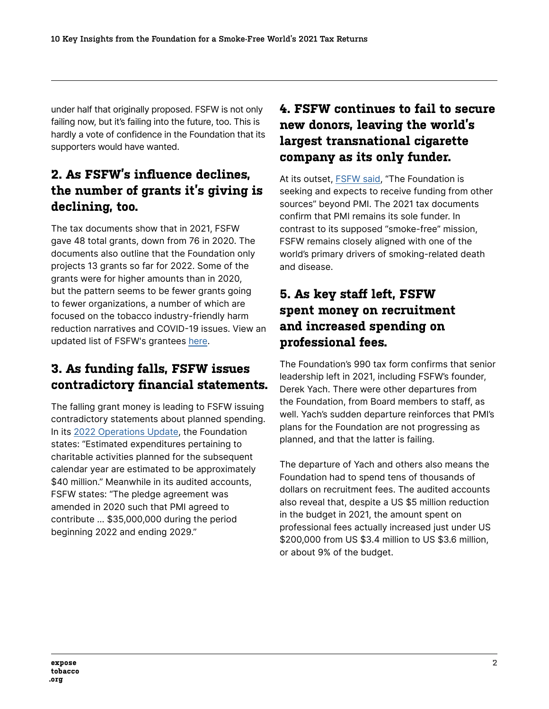under half that originally proposed. FSFW is not only failing now, but it's failing into the future, too. This is hardly a vote of confidence in the Foundation that its supporters would have wanted.

# **2. As FSFW's influence declines, the number of grants it's giving is declining, too.**

The tax documents show that in 2021, FSFW gave 48 total grants, down from 76 in 2020. The documents also outline that the Foundation only projects 13 grants so far for 2022. Some of the grants were for higher amounts than in 2020, but the pattern seems to be fewer grants going to fewer organizations, a number of which are focused on the tobacco industry-friendly harm reduction narratives and COVID-19 issues. View an updated list of FSFW's grantees [here.](https://tobaccotactics.org/wiki/foundation-for-a-smoke-free-world-grantees/)

## **3. As funding falls, FSFW issues contradictory financial statements.**

The falling grant money is leading to FSFW issuing contradictory statements about planned spending. In its [2022 Operations Update,](https://www.smokefreeworld.org/wp-content/uploads/2022/05/2022-Operations-Update-Final.pdf) the Foundation states: "Estimated expenditures pertaining to charitable activities planned for the subsequent calendar year are estimated to be approximately \$40 million." Meanwhile in its audited accounts, FSFW states: "The pledge agreement was amended in 2020 such that PMI agreed to contribute … \$35,000,000 during the period beginning 2022 and ending 2029."

# **4. FSFW continues to fail to secure new donors, leaving the world's largest transnational cigarette company as its only funder.**

At its outset, [FSFW said](https://web.archive.org/web/20200518090122/https:/www.smokefreeworld.org/our-vision/funding/), "The Foundation is seeking and expects to receive funding from other sources" beyond PMI. The 2021 tax documents confirm that PMI remains its sole funder. In contrast to its supposed "smoke-free" mission, FSFW remains closely aligned with one of the world's primary drivers of smoking-related death and disease.

# **5. As key staff left, FSFW spent money on recruitment and increased spending on professional fees.**

The Foundation's 990 tax form confirms that senior leadership left in 2021, including FSFW's founder, Derek Yach. There were other departures from the Foundation, from Board members to staff, as well. Yach's sudden departure reinforces that PMI's plans for the Foundation are not progressing as planned, and that the latter is failing.

The departure of Yach and others also means the Foundation had to spend tens of thousands of dollars on recruitment fees. The audited accounts also reveal that, despite a US \$5 million reduction in the budget in 2021, the amount spent on professional fees actually increased just under US \$200,000 from US \$3.4 million to US \$3.6 million, or about 9% of the budget.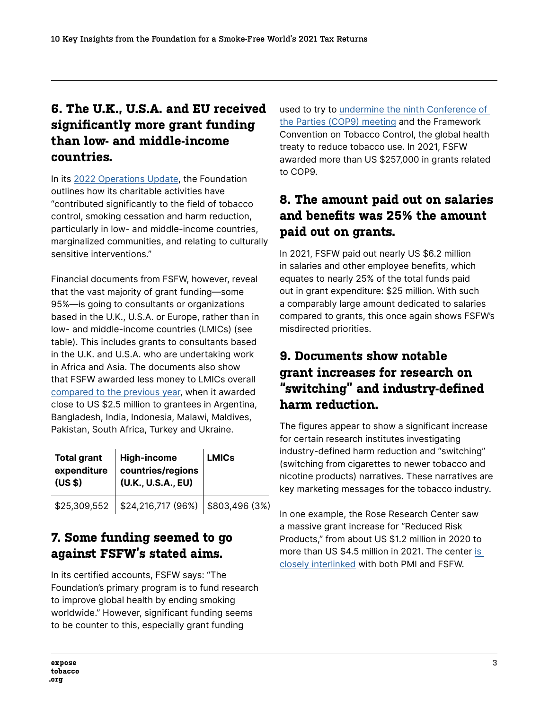#### **6. The U.K., U.S.A. and EU received significantly more grant funding than low- and middle-income countries.**

In its [2022 Operations Update,](https://www.smokefreeworld.org/wp-content/uploads/2022/05/2022-Operations-Update-Final.pdf) the Foundation outlines how its charitable activities have "contributed significantly to the field of tobacco control, smoking cessation and harm reduction, particularly in low- and middle-income countries, marginalized communities, and relating to culturally sensitive interventions."

Financial documents from FSFW, however, reveal that the vast majority of grant funding—some 95%—is going to consultants or organizations based in the U.K., U.S.A. or Europe, rather than in low- and middle-income countries (LMICs) (see table). This includes grants to consultants based in the U.K. and U.S.A. who are undertaking work in Africa and Asia. The documents also show that FSFW awarded less money to LMICs overall [compared to the previous year](https://exposetobacco.org/wp-content/uploads/FSFW_2020_Tax_Return.pdf), when it awarded close to US \$2.5 million to grantees in Argentina, Bangladesh, India, Indonesia, Malawi, Maldives, Pakistan, South Africa, Turkey and Ukraine.

| <b>Total grant</b><br>(US <sub>5</sub> ) | $\vert$ High-income<br>expenditure countries/regions<br>(U.K., U.S.A., EU) | <b>LMICs</b> |
|------------------------------------------|----------------------------------------------------------------------------|--------------|
|                                          | $$25,309,552$   \$24,216,717 (96%)   \$803,496 (3%)                        |              |

## **7. Some funding seemed to go against FSFW's stated aims.**

In its certified accounts, FSFW says: "The Foundation's primary program is to fund research to improve global health by ending smoking worldwide." However, significant funding seems to be counter to this, especially grant funding

used to try to [undermine the ninth Conference of](https://tobaccotactics.org/wiki/cop9-mop2-interference-industry-and-allies/)  [the Parties \(COP9\) meeting](https://tobaccotactics.org/wiki/cop9-mop2-interference-industry-and-allies/) and the Framework Convention on Tobacco Control, the global health treaty to reduce tobacco use. In 2021, FSFW awarded more than US \$257,000 in grants related to COP9.

#### **8. The amount paid out on salaries and benefits was 25% the amount paid out on grants.**

In 2021, FSFW paid out nearly US \$6.2 million in salaries and other employee benefits, which equates to nearly 25% of the total funds paid out in grant expenditure: \$25 million. With such a comparably large amount dedicated to salaries compared to grants, this once again shows FSFW's misdirected priorities.

## **9. Documents show notable grant increases for research on "switching" and industry-defined harm reduction.**

The figures appear to show a significant increase for certain research institutes investigating industry-defined harm reduction and "switching" (switching from cigarettes to newer tobacco and nicotine products) narratives. These narratives are key marketing messages for the tobacco industry.

In one example, the Rose Research Center saw a massive grant increase for "Reduced Risk Products," from about US \$1.2 million in 2020 to more than US \$4.5 million in 2021. The center [is](https://tobaccotactics.org/wiki/jed-e-rose/)  [closely interlinked](https://tobaccotactics.org/wiki/jed-e-rose/) with both PMI and FSFW.